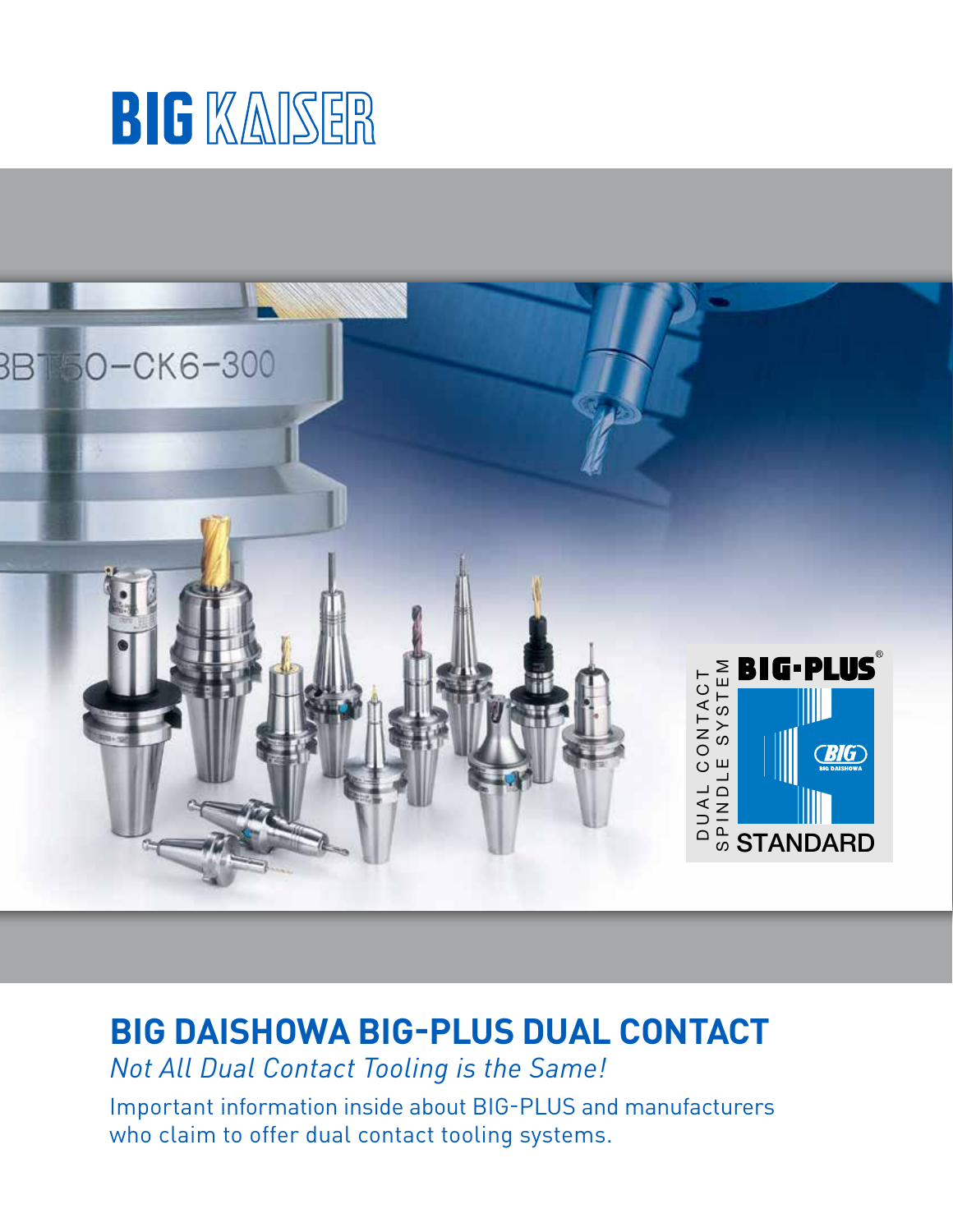



# **BIG DAISHOWA BIG-PLUS DUAL CONTACT**

*Not All Dual Contact Tooling is the Same!*

Important information inside about BIG-PLUS and manufacturers who claim to offer dual contact tooling systems.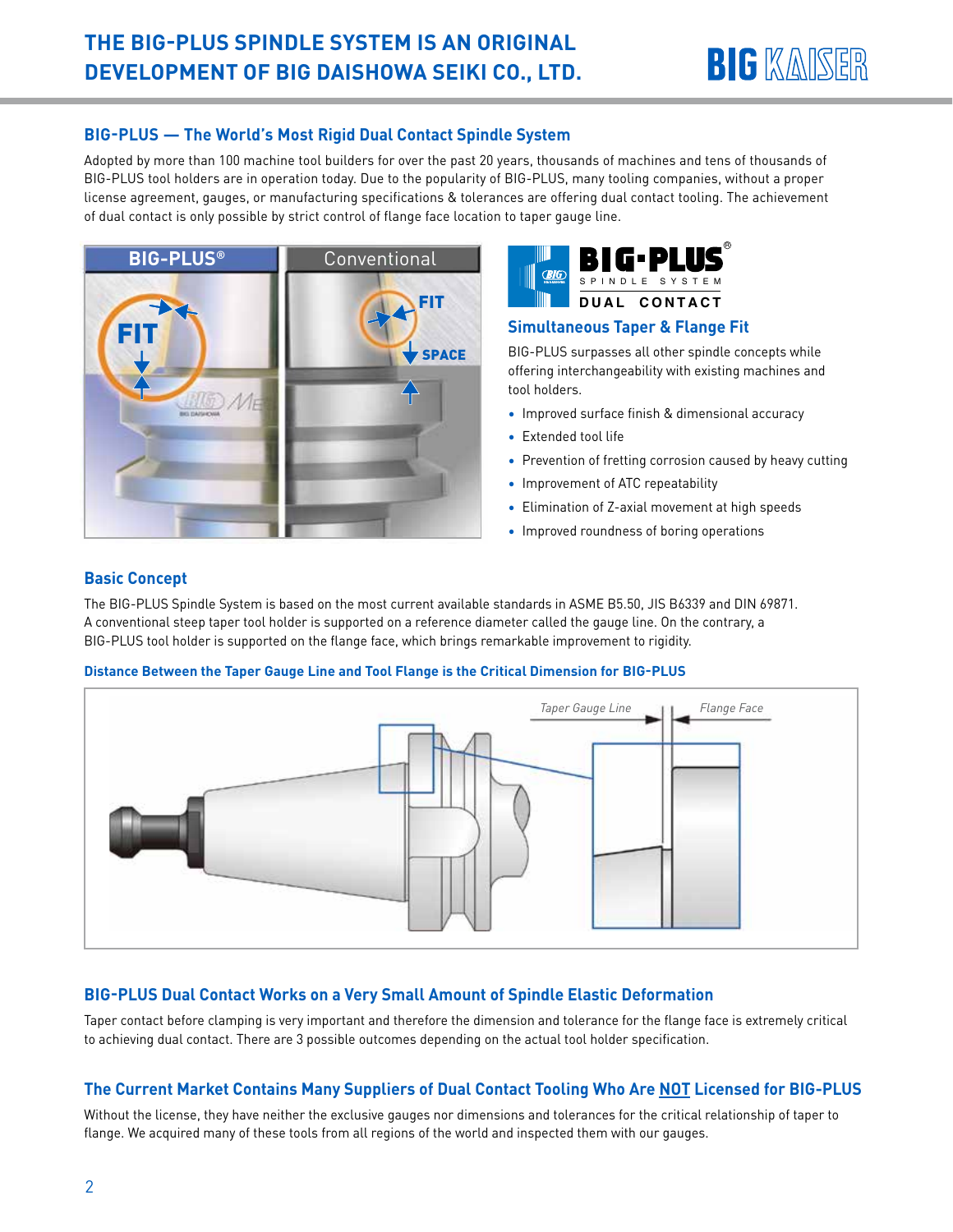

### **BIG-PLUS — The World's Most Rigid Dual Contact Spindle System**

Adopted by more than 100 machine tool builders for over the past 20 years, thousands of machines and tens of thousands of BIG-PLUS tool holders are in operation today. Due to the popularity of BIG-PLUS, many tooling companies, without a proper license agreement, gauges, or manufacturing specifications & tolerances are offering dual contact tooling. The achievement of dual contact is only possible by strict control of flange face location to taper gauge line.





#### **Simultaneous Taper & Flange Fit**

BIG-PLUS surpasses all other spindle concepts while offering interchangeability with existing machines and tool holders.

- Improved surface finish & dimensional accuracy
- Extended tool life
- Prevention of fretting corrosion caused by heavy cutting
- Improvement of ATC repeatability
- Elimination of Z-axial movement at high speeds
- Improved roundness of boring operations

# **Basic Concept**

The BIG-PLUS Spindle System is based on the most current available standards in ASME B5.50, JIS B6339 and DIN 69871. A conventional steep taper tool holder is supported on a reference diameter called the gauge line. On the contrary, a BIG-PLUS tool holder is supported on the flange face, which brings remarkable improvement to rigidity.

#### **Distance Between the Taper Gauge Line and Tool Flange is the Critical Dimension for BIG-PLUS**



# **BIG-PLUS Dual Contact Works on a Very Small Amount of Spindle Elastic Deformation**

Taper contact before clamping is very important and therefore the dimension and tolerance for the flange face is extremely critical to achieving dual contact. There are 3 possible outcomes depending on the actual tool holder specification.

# **The Current Market Contains Many Suppliers of Dual Contact Tooling Who Are NOT Licensed for BIG-PLUS**

Without the license, they have neither the exclusive gauges nor dimensions and tolerances for the critical relationship of taper to flange. We acquired many of these tools from all regions of the world and inspected them with our gauges.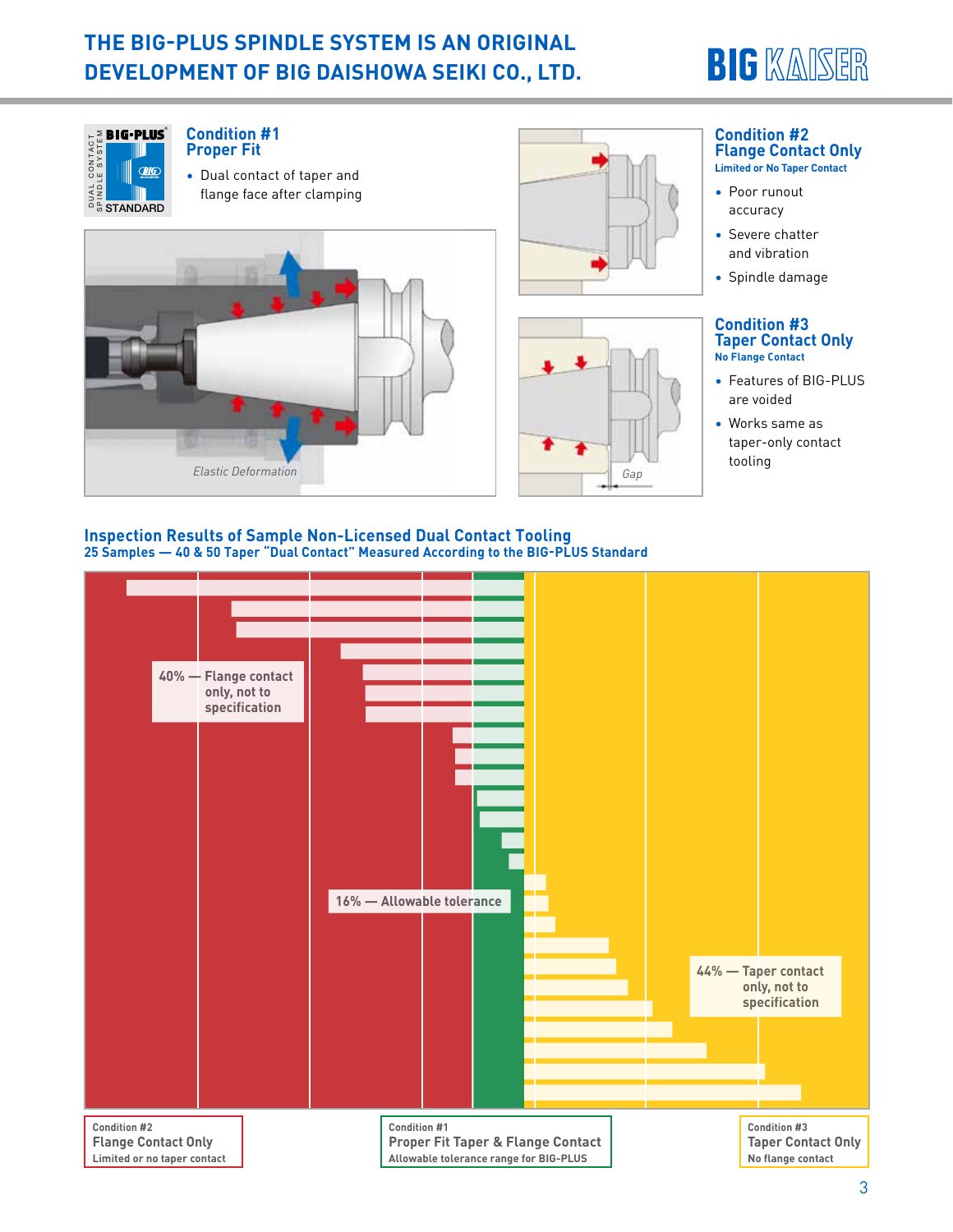# **THE BIG-PLUS SPINDLE SYSTEM IS AN ORIGINAL DEVELOPMENT OF BIG DAISHOWA SEIKI CO., LTD.**







• Dual contact of taper and flange face after clamping







#### **Condition #2 Flange Contact Only Limited or No Taper Contact**

- Poor runout accuracy
- Severe chatter and vibration
- Spindle damage

#### **Condition #3 Taper Contact Only No Flange Contact**

- Features of BIG-PLUS are voided
- Works same as taper-only contact tooling

#### **Inspection Results of Sample Non-Licensed Dual Contact Tooling 25 Samples — 40 & 50 Taper "Dual Contact" Measured According to the BIG-PLUS Standard**